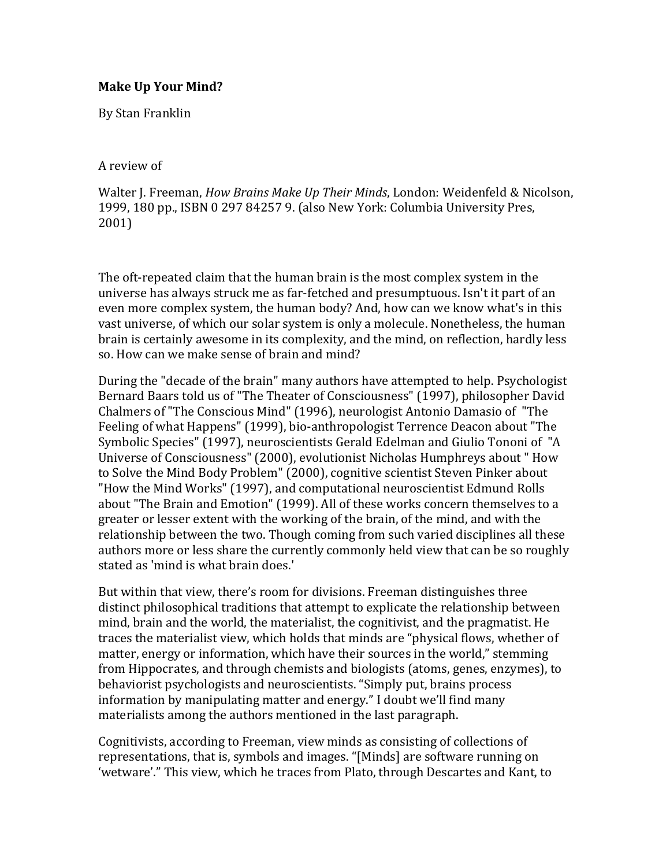## **Make Up Your Mind?**

By Stan Franklin

A review of

Walter J. Freeman, *How Brains Make Up Their Minds*, London: Weidenfeld & Nicolson, 1999, 180 pp., ISBN 0 297 84257 9. (also New York: Columbia University Pres, 2001)

The oft-repeated claim that the human brain is the most complex system in the universe has always struck me as far-fetched and presumptuous. Isn't it part of an even more complex system, the human body? And, how can we know what's in this vast universe, of which our solar system is only a molecule. Nonetheless, the human brain is certainly awesome in its complexity, and the mind, on reflection, hardly less so. How can we make sense of brain and mind?

During the "decade of the brain" many authors have attempted to help. Psychologist Bernard Baars told us of "The Theater of Consciousness" (1997), philosopher David Chalmers of "The Conscious Mind" (1996), neurologist Antonio Damasio of "The Feeling of what Happens" (1999), bio-anthropologist Terrence Deacon about "The Symbolic Species" (1997), neuroscientists Gerald Edelman and Giulio Tononi of "A Universe of Consciousness" (2000), evolutionist Nicholas Humphreys about " How to Solve the Mind Body Problem" (2000), cognitive scientist Steven Pinker about "How the Mind Works" (1997), and computational neuroscientist Edmund Rolls about "The Brain and Emotion" (1999). All of these works concern themselves to a greater or lesser extent with the working of the brain, of the mind, and with the relationship between the two. Though coming from such varied disciplines all these authors more or less share the currently commonly held view that can be so roughly stated as 'mind is what brain does.'

But within that view, there's room for divisions. Freeman distinguishes three distinct philosophical traditions that attempt to explicate the relationship between mind, brain and the world, the materialist, the cognitivist, and the pragmatist. He traces the materialist view, which holds that minds are "physical flows, whether of matter, energy or information, which have their sources in the world," stemming from Hippocrates, and through chemists and biologists (atoms, genes, enzymes), to behaviorist psychologists and neuroscientists. "Simply put, brains process information by manipulating matter and energy." I doubt we'll find many materialists among the authors mentioned in the last paragraph.

Cognitivists, according to Freeman, view minds as consisting of collections of representations, that is, symbols and images. "[Minds] are software running on 'wetware'." This view, which he traces from Plato, through Descartes and Kant, to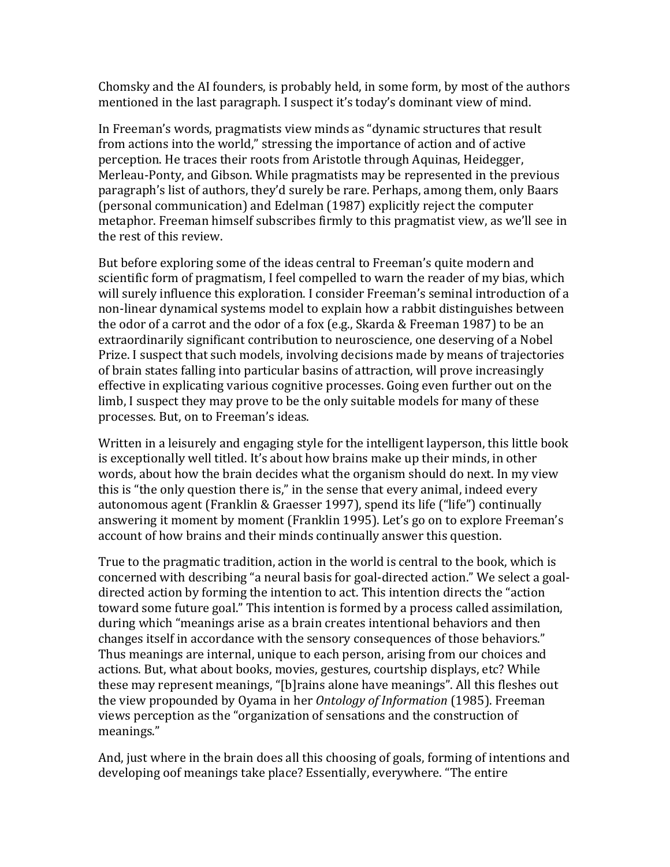Chomsky and the AI founders, is probably held, in some form, by most of the authors mentioned in the last paragraph. I suspect it's today's dominant view of mind.

In Freeman's words, pragmatists view minds as "dynamic structures that result from actions into the world," stressing the importance of action and of active perception. He traces their roots from Aristotle through Aquinas, Heidegger, Merleau-Ponty, and Gibson. While pragmatists may be represented in the previous paragraph's list of authors, they'd surely be rare. Perhaps, among them, only Baars (personal communication) and Edelman (1987) explicitly reject the computer metaphor. Freeman himself subscribes firmly to this pragmatist view, as we'll see in the rest of this review.

But before exploring some of the ideas central to Freeman's quite modern and scientific form of pragmatism, I feel compelled to warn the reader of my bias, which will surely influence this exploration. I consider Freeman's seminal introduction of a non-linear dynamical systems model to explain how a rabbit distinguishes between the odor of a carrot and the odor of a fox (e.g., Skarda & Freeman 1987) to be an extraordinarily significant contribution to neuroscience, one deserving of a Nobel Prize. I suspect that such models, involving decisions made by means of trajectories of brain states falling into particular basins of attraction, will prove increasingly effective in explicating various cognitive processes. Going even further out on the limb, I suspect they may prove to be the only suitable models for many of these processes. But, on to Freeman's ideas.

Written in a leisurely and engaging style for the intelligent layperson, this little book is exceptionally well titled. It's about how brains make up their minds, in other words, about how the brain decides what the organism should do next. In my view this is "the only question there is," in the sense that every animal, indeed every autonomous agent (Franklin & Graesser 1997), spend its life ("life") continually answering it moment by moment (Franklin 1995). Let's go on to explore Freeman's account of how brains and their minds continually answer this question.

True to the pragmatic tradition, action in the world is central to the book, which is concerned with describing "a neural basis for goal-directed action." We select a goaldirected action by forming the intention to act. This intention directs the "action toward some future goal." This intention is formed by a process called assimilation, during which "meanings arise as a brain creates intentional behaviors and then changes itself in accordance with the sensory consequences of those behaviors." Thus meanings are internal, unique to each person, arising from our choices and actions. But, what about books, movies, gestures, courtship displays, etc? While these may represent meanings, "[b]rains alone have meanings". All this fleshes out the view propounded by Oyama in her *Ontology of Information* (1985). Freeman views perception as the "organization of sensations and the construction of meanings." 

And, just where in the brain does all this choosing of goals, forming of intentions and developing oof meanings take place? Essentially, everywhere. "The entire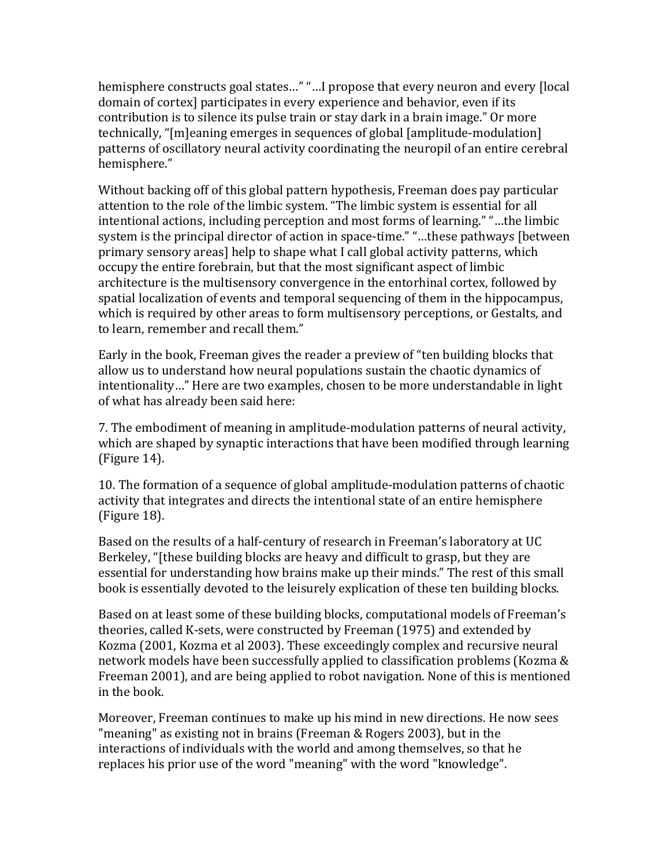hemisphere constructs goal states..." "...I propose that every neuron and every [local domain of cortex] participates in every experience and behavior, even if its contribution is to silence its pulse train or stay dark in a brain image." Or more technically, "[m]eaning emerges in sequences of global [amplitude-modulation] patterns of oscillatory neural activity coordinating the neuropil of an entire cerebral hemisphere."

Without backing off of this global pattern hypothesis, Freeman does pay particular attention to the role of the limbic system. "The limbic system is essential for all intentional actions, including perception and most forms of learning." "...the limbic system is the principal director of action in space-time." "...these pathways [between primary sensory areas] help to shape what I call global activity patterns, which occupy the entire forebrain, but that the most significant aspect of limbic architecture is the multisensory convergence in the entorhinal cortex, followed by spatial localization of events and temporal sequencing of them in the hippocampus, which is required by other areas to form multisensory perceptions, or Gestalts, and to learn, remember and recall them."

Early in the book, Freeman gives the reader a preview of "ten building blocks that allow us to understand how neural populations sustain the chaotic dynamics of intentionality..." Here are two examples, chosen to be more understandable in light of what has already been said here:

7. The embodiment of meaning in amplitude-modulation patterns of neural activity, which are shaped by synaptic interactions that have been modified through learning  $(Figure 14)$ .

10. The formation of a sequence of global amplitude-modulation patterns of chaotic activity that integrates and directs the intentional state of an entire hemisphere  $(Figure 18)$ .

Based on the results of a half-century of research in Freeman's laboratory at UC Berkeley, "[these building blocks are heavy and difficult to grasp, but they are essential for understanding how brains make up their minds." The rest of this small book is essentially devoted to the leisurely explication of these ten building blocks.

Based on at least some of these building blocks, computational models of Freeman's theories, called K-sets, were constructed by Freeman (1975) and extended by Kozma (2001, Kozma et al 2003). These exceedingly complex and recursive neural network models have been successfully applied to classification problems (Kozma & Freeman 2001), and are being applied to robot navigation. None of this is mentioned in the book.

Moreover, Freeman continues to make up his mind in new directions. He now sees "meaning" as existing not in brains (Freeman  $&$  Rogers 2003), but in the interactions of individuals with the world and among themselves, so that he replaces his prior use of the word "meaning" with the word "knowledge".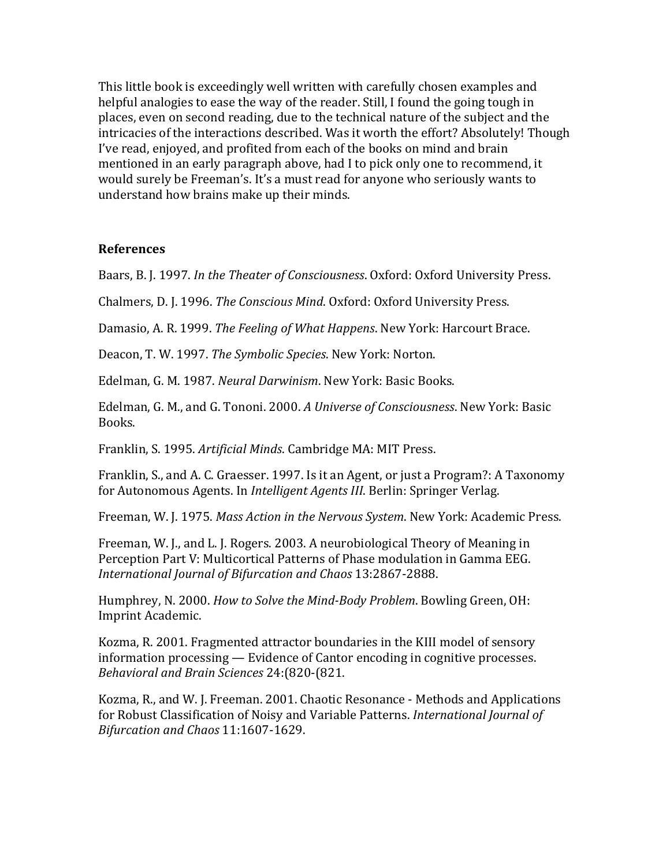This little book is exceedingly well written with carefully chosen examples and helpful analogies to ease the way of the reader. Still, I found the going tough in places, even on second reading, due to the technical nature of the subject and the intricacies of the interactions described. Was it worth the effort? Absolutely! Though I've read, enjoyed, and profited from each of the books on mind and brain mentioned in an early paragraph above, had I to pick only one to recommend, it would surely be Freeman's. It's a must read for anyone who seriously wants to understand how brains make up their minds.

## **References**

Baars, B. J. 1997. *In the Theater of Consciousness*. Oxford: Oxford University Press.

Chalmers, D. J. 1996. *The Conscious Mind*. Oxford: Oxford University Press.

Damasio, A. R. 1999. *The Feeling of What Happens*. New York: Harcourt Brace.

Deacon, T. W. 1997. *The Symbolic Species*. New York: Norton.

Edelman, G. M. 1987. *Neural Darwinism*. New York: Basic Books.

Edelman, G. M., and G. Tononi. 2000. A Universe of Consciousness. New York: Basic Books.

Franklin, S. 1995. *Artificial Minds*. Cambridge MA: MIT Press.

Franklin, S., and A. C. Graesser. 1997. Is it an Agent, or just a Program?: A Taxonomy for Autonomous Agents. In *Intelligent Agents III*. Berlin: Springer Verlag.

Freeman, W. J. 1975. *Mass Action in the Nervous System*. New York: Academic Press.

Freeman, W. J., and L. J. Rogers. 2003. A neurobiological Theory of Meaning in Perception Part V: Multicortical Patterns of Phase modulation in Gamma EEG. *International Journal of Bifurcation and Chaos* 13:2867-2888.

Humphrey, N. 2000. *How to Solve the Mind-Body Problem*. Bowling Green, OH: Imprint Academic.

Kozma, R. 2001. Fragmented attractor boundaries in the KIII model of sensory  $information processing$  — Evidence of Cantor encoding in cognitive processes. *Behavioral and Brain Sciences* 24:(820-(821.

Kozma, R., and W. J. Freeman. 2001. Chaotic Resonance - Methods and Applications for Robust Classification of Noisy and Variable Patterns. *International Journal of Bifurcation and Chaos* 11:1607-1629.